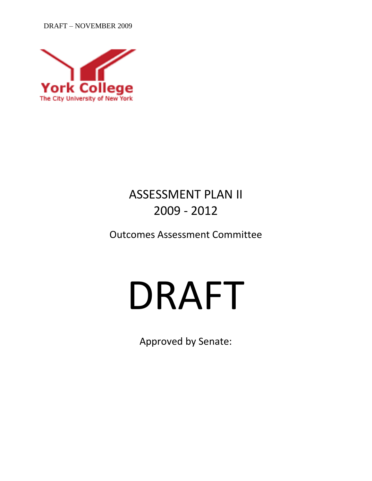DRAFT – NOVEMBER 2009



# ASSESSMENT PLAN II 2009 - 2012

Outcomes Assessment Committee

# DRAFT

Approved by Senate: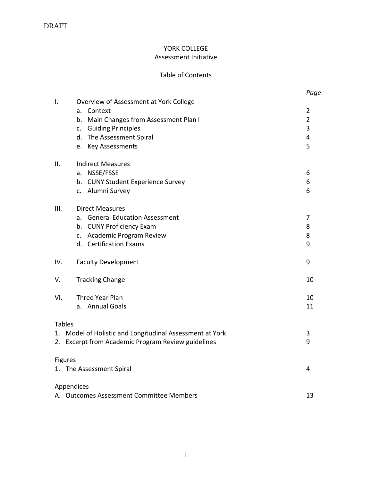# YORK COLLEGE Assessment Initiative

# Table of Contents

|                |                                                          | Page           |
|----------------|----------------------------------------------------------|----------------|
| I.             | Overview of Assessment at York College<br>Context<br>a.  | 2              |
|                | Main Changes from Assessment Plan I<br>b.                | $\overline{2}$ |
|                | c. Guiding Principles                                    | 3              |
|                | d. The Assessment Spiral                                 | 4              |
|                | e. Key Assessments                                       | 5              |
| ΙΙ.            | <b>Indirect Measures</b>                                 |                |
|                | NSSE/FSSE<br>a.                                          | 6              |
|                | b. CUNY Student Experience Survey                        | 6              |
|                | c. Alumni Survey                                         | 6              |
| III.           | <b>Direct Measures</b>                                   |                |
|                | <b>General Education Assessment</b><br>a.                | 7              |
|                | <b>CUNY Proficiency Exam</b><br>b.                       | 8              |
|                | c. Academic Program Review                               | 8              |
|                | d. Certification Exams                                   | 9              |
| IV.            | <b>Faculty Development</b>                               | 9              |
| V.             | <b>Tracking Change</b>                                   | 10             |
| VI.            | Three Year Plan                                          | 10             |
|                | a. Annual Goals                                          | 11             |
| <b>Tables</b>  |                                                          |                |
|                | 1. Model of Holistic and Longitudinal Assessment at York | 3              |
|                | 2. Excerpt from Academic Program Review guidelines       | 9              |
| <b>Figures</b> |                                                          |                |
|                | 1. The Assessment Spiral                                 | 4              |
|                | Appendices                                               |                |
|                | A. Outcomes Assessment Committee Members                 | 13             |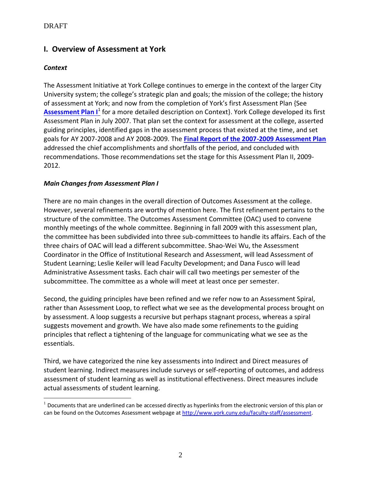# **I. Overview of Assessment at York**

# *Context*

The Assessment Initiative at York College continues to emerge in the context of the larger City University system; the college's strategic plan and goals; the mission of the college; the history of assessment at York; and now from the completion of York's first Assessment Plan {See **Assessment Plan I**<sup>1</sup> for a more detailed description on Context}. York College developed its first Assessment Plan in July 2007. That plan set the context for assessment at the college, asserted guiding principles, identified gaps in the assessment process that existed at the time, and set goals for AY 2007-2008 and AY 2008-2009. The **Final Report of the 2007-2009 Assessment Plan** addressed the chief accomplishments and shortfalls of the period, and concluded with recommendations. Those recommendations set the stage for this Assessment Plan II, 2009- 2012.

# *Main Changes from Assessment Plan I*

There are no main changes in the overall direction of Outcomes Assessment at the college. However, several refinements are worthy of mention here. The first refinement pertains to the structure of the committee. The Outcomes Assessment Committee (OAC) used to convene monthly meetings of the whole committee. Beginning in fall 2009 with this assessment plan, the committee has been subdivided into three sub-committees to handle its affairs. Each of the three chairs of OAC will lead a different subcommittee. Shao-Wei Wu, the Assessment Coordinator in the Office of Institutional Research and Assessment, will lead Assessment of Student Learning; Leslie Keiler will lead Faculty Development; and Dana Fusco will lead Administrative Assessment tasks. Each chair will call two meetings per semester of the subcommittee. The committee as a whole will meet at least once per semester.

Second, the guiding principles have been refined and we refer now to an Assessment Spiral, rather than Assessment Loop, to reflect what we see as the developmental process brought on by assessment. A loop suggests a recursive but perhaps stagnant process, whereas a spiral suggests movement and growth. We have also made some refinements to the guiding principles that reflect a tightening of the language for communicating what we see as the essentials.

Third, we have categorized the nine key assessments into Indirect and Direct measures of student learning. Indirect measures include surveys or self-reporting of outcomes, and address assessment of student learning as well as institutional effectiveness. Direct measures include actual assessments of student learning.

 $\overline{a}$  $1$  Documents that are underlined can be accessed directly as hyperlinks from the electronic version of this plan or can be found on the Outcomes Assessment webpage at [http://www.york.cuny.edu/faculty-staff/assessment.](http://www.york.cuny.edu/faculty-staff/assessment)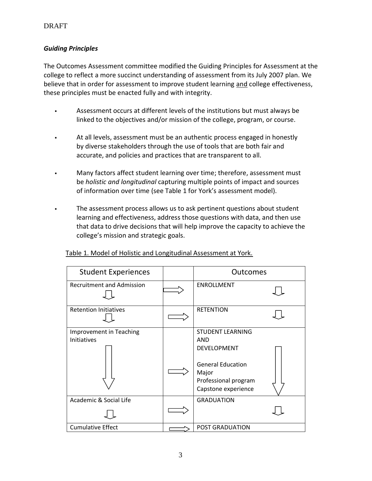# *Guiding Principles*

The Outcomes Assessment committee modified the Guiding Principles for Assessment at the college to reflect a more succinct understanding of assessment from its July 2007 plan. We believe that in order for assessment to improve student learning and college effectiveness, these principles must be enacted fully and with integrity.

- Assessment occurs at different levels of the institutions but must always be linked to the objectives and/or mission of the college, program, or course.
- At all levels, assessment must be an authentic process engaged in honestly by diverse stakeholders through the use of tools that are both fair and accurate, and policies and practices that are transparent to all.
- Many factors affect student learning over time; therefore, assessment must be *holistic and longitudinal* capturing multiple points of impact and sources of information over time (see Table 1 for York's assessment model).
- The assessment process allows us to ask pertinent questions about student learning and effectiveness, address those questions with data, and then use that data to drive decisions that will help improve the capacity to achieve the college's mission and strategic goals.

| <b>Student Experiences</b>             | <b>Outcomes</b>                                                                                                                          |  |
|----------------------------------------|------------------------------------------------------------------------------------------------------------------------------------------|--|
| <b>Recruitment and Admission</b>       | <b>ENROLLMENT</b>                                                                                                                        |  |
| <b>Retention Initiatives</b>           | <b>RETENTION</b>                                                                                                                         |  |
| Improvement in Teaching<br>Initiatives | <b>STUDENT LEARNING</b><br>AND<br><b>DEVELOPMENT</b><br><b>General Education</b><br>Major<br>Professional program<br>Capstone experience |  |
| Academic & Social Life                 | <b>GRADUATION</b>                                                                                                                        |  |
| <b>Cumulative Effect</b>               | <b>POST GRADUATION</b>                                                                                                                   |  |

# Table 1. Model of Holistic and Longitudinal Assessment at York.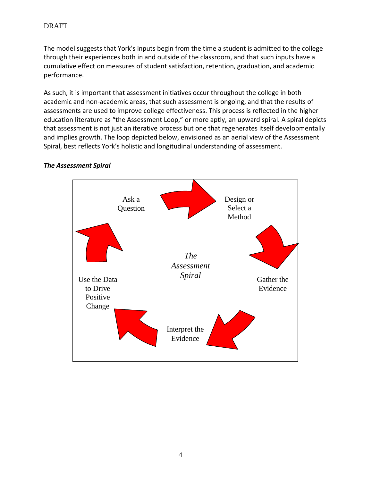The model suggests that York's inputs begin from the time a student is admitted to the college through their experiences both in and outside of the classroom, and that such inputs have a cumulative effect on measures of student satisfaction, retention, graduation, and academic performance.

As such, it is important that assessment initiatives occur throughout the college in both academic and non-academic areas, that such assessment is ongoing, and that the results of assessments are used to improve college effectiveness. This process is reflected in the higher education literature as "the Assessment Loop," or more aptly, an upward spiral. A spiral depicts that assessment is not just an iterative process but one that regenerates itself developmentally and implies growth. The loop depicted below, envisioned as an aerial view of the Assessment Spiral, best reflects York's holistic and longitudinal understanding of assessment.



#### *The Assessment Spiral*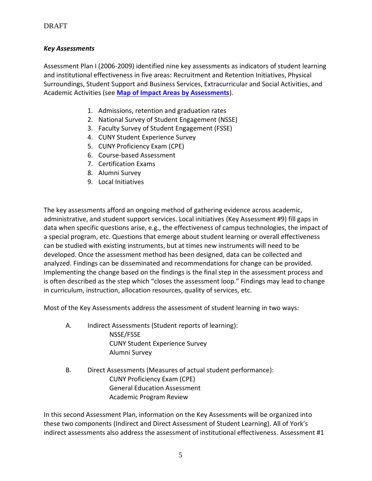# *Key Assessments*

Assessment Plan I (2006-2009) identified nine key assessments as indicators of student learning and institutional effectiveness in five areas: Recruitment and Retention Initiatives, Physical Surroundings, Student Support and Business Services, Extracurricular and Social Activities, and Academic Activities (see **[Map of Impact Areas by Assessments](Map%20of%20Impact%20Areas%20by%20Assessments.doc)**).

- 1. Admissions, retention and graduation rates
- 2. National Survey of Student Engagement (NSSE)
- 3. Faculty Survey of Student Engagement (FSSE)
- 4. CUNY Student Experience Survey
- 5. CUNY Proficiency Exam (CPE)
- 6. Course-based Assessment
- 7. Certification Exams
- 8. Alumni Survey
- 9. Local Initiatives

The key assessments afford an ongoing method of gathering evidence across academic, administrative, and student support services. Local initiatives (Key Assessment #9) fill gaps in data when specific questions arise, e.g., the effectiveness of campus technologies, the impact of a special program, etc. Questions that emerge about student learning or overall effectiveness can be studied with existing instruments, but at times new instruments will need to be developed. Once the assessment method has been designed, data can be collected and analyzed. Findings can be disseminated and recommendations for change can be provided. Implementing the change based on the findings is the final step in the assessment process and is often described as the step which "closes the assessment loop." Findings may lead to change in curriculum, instruction, allocation resources, quality of services, etc.

Most of the Key Assessments address the assessment of student learning in two ways:

- A. Indirect Assessments (Student reports of learning): NSSE/FSSE CUNY Student Experience Survey Alumni Survey
- B. Direct Assessments (Measures of actual student performance): CUNY Proficiency Exam (CPE) General Education Assessment Academic Program Review

In this second Assessment Plan, information on the Key Assessments will be organized into these two components (Indirect and Direct Assessment of Student Learning). All of York's indirect assessments also address the assessment of institutional effectiveness. Assessment #1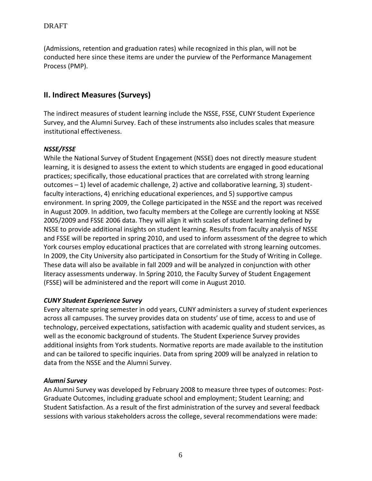(Admissions, retention and graduation rates) while recognized in this plan, will not be conducted here since these items are under the purview of the Performance Management Process (PMP).

# **II. Indirect Measures (Surveys)**

The indirect measures of student learning include the NSSE, FSSE, CUNY Student Experience Survey, and the Alumni Survey. Each of these instruments also includes scales that measure institutional effectiveness.

#### *NSSE/FSSE*

While the National Survey of Student Engagement (NSSE) does not directly measure student learning, it is designed to assess the extent to which students are engaged in good educational practices; specifically, those educational practices that are correlated with strong learning outcomes – 1) level of academic challenge, 2) active and collaborative learning, 3) studentfaculty interactions, 4) enriching educational experiences, and 5) supportive campus environment. In spring 2009, the College participated in the NSSE and the report was received in August 2009. In addition, two faculty members at the College are currently looking at NSSE 2005/2009 and FSSE 2006 data. They will align it with scales of student learning defined by NSSE to provide additional insights on student learning. Results from faculty analysis of NSSE and FSSE will be reported in spring 2010, and used to inform assessment of the degree to which York courses employ educational practices that are correlated with strong learning outcomes. In 2009, the City University also participated in Consortium for the Study of Writing in College. These data will also be available in fall 2009 and will be analyzed in conjunction with other literacy assessments underway. In Spring 2010, the Faculty Survey of Student Engagement (FSSE) will be administered and the report will come in August 2010.

#### *CUNY Student Experience Survey*

Every alternate spring semester in odd years, CUNY administers a survey of student experiences across all campuses. The survey provides data on students' use of time, access to and use of technology, perceived expectations, satisfaction with academic quality and student services, as well as the economic background of students. The Student Experience Survey provides additional insights from York students. Normative reports are made available to the institution and can be tailored to specific inquiries. Data from spring 2009 will be analyzed in relation to data from the NSSE and the Alumni Survey.

# *Alumni Survey*

An Alumni Survey was developed by February 2008 to measure three types of outcomes: Post-Graduate Outcomes, including graduate school and employment; Student Learning; and Student Satisfaction. As a result of the first administration of the survey and several feedback sessions with various stakeholders across the college, several recommendations were made: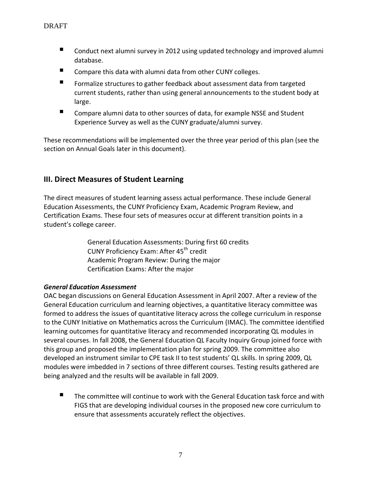- Conduct next alumni survey in 2012 using updated technology and improved alumni database.
- Compare this data with alumni data from other CUNY colleges.
- Formalize structures to gather feedback about assessment data from targeted current students, rather than using general announcements to the student body at large.
- Compare alumni data to other sources of data, for example NSSE and Student Experience Survey as well as the CUNY graduate/alumni survey.

These recommendations will be implemented over the three year period of this plan (see the section on Annual Goals later in this document).

# **III. Direct Measures of Student Learning**

The direct measures of student learning assess actual performance. These include General Education Assessments, the CUNY Proficiency Exam, Academic Program Review, and Certification Exams. These four sets of measures occur at different transition points in a student's college career.

> General Education Assessments: During first 60 credits CUNY Proficiency Exam: After 45<sup>th</sup> credit Academic Program Review: During the major Certification Exams: After the major

# *General Education Assessment*

OAC began discussions on General Education Assessment in April 2007. After a review of the General Education curriculum and learning objectives, a quantitative literacy committee was formed to address the issues of quantitative literacy across the college curriculum in response to the CUNY Initiative on Mathematics across the Curriculum (IMAC). The committee identified learning outcomes for quantitative literacy and recommended incorporating QL modules in several courses. In fall 2008, the General Education QL Faculty Inquiry Group joined force with this group and proposed the implementation plan for spring 2009. The committee also developed an instrument similar to CPE task II to test students' QL skills. In spring 2009, QL modules were imbedded in 7 sections of three different courses. Testing results gathered are being analyzed and the results will be available in fall 2009.

 $\blacksquare$  The committee will continue to work with the General Education task force and with FIGS that are developing individual courses in the proposed new core curriculum to ensure that assessments accurately reflect the objectives.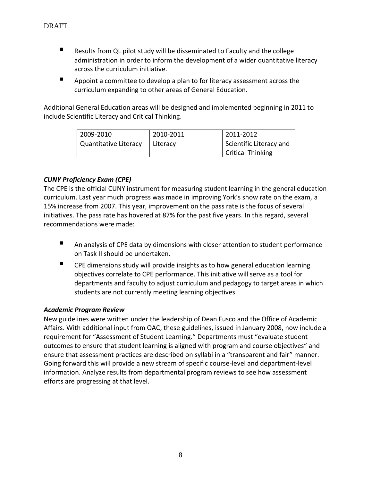- Results from QL pilot study will be disseminated to Faculty and the college administration in order to inform the development of a wider quantitative literacy across the curriculum initiative.
- Appoint a committee to develop a plan to for literacy assessment across the curriculum expanding to other areas of General Education.

Additional General Education areas will be designed and implemented beginning in 2011 to include Scientific Literacy and Critical Thinking.

| 2009-2010                    | 2010-2011 | 2011-2012                |
|------------------------------|-----------|--------------------------|
| <b>Quantitative Literacy</b> | Literacy  | Scientific Literacy and  |
|                              |           | <b>Critical Thinking</b> |

# *CUNY Proficiency Exam (CPE)*

The CPE is the official CUNY instrument for measuring student learning in the general education curriculum. Last year much progress was made in improving York's show rate on the exam, a 15% increase from 2007. This year, improvement on the pass rate is the focus of several initiatives. The pass rate has hovered at 87% for the past five years. In this regard, several recommendations were made:

- An analysis of CPE data by dimensions with closer attention to student performance on Task II should be undertaken.
- CPE dimensions study will provide insights as to how general education learning objectives correlate to CPE performance. This initiative will serve as a tool for departments and faculty to adjust curriculum and pedagogy to target areas in which students are not currently meeting learning objectives.

# *Academic Program Review*

New guidelines were written under the leadership of Dean Fusco and the Office of Academic Affairs. With additional input from OAC, these guidelines, issued in January 2008, now include a requirement for "Assessment of Student Learning." Departments must "evaluate student outcomes to ensure that student learning is aligned with program and course objectives" and ensure that assessment practices are described on syllabi in a "transparent and fair" manner. Going forward this will provide a new stream of specific course-level and department-level information. Analyze results from departmental program reviews to see how assessment efforts are progressing at that level.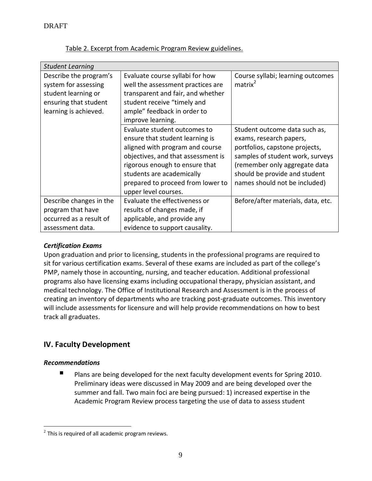| <b>Student Learning</b> |                                    |                                    |  |  |  |
|-------------------------|------------------------------------|------------------------------------|--|--|--|
| Describe the program's  | Evaluate course syllabi for how    | Course syllabi; learning outcomes  |  |  |  |
| system for assessing    | well the assessment practices are  | matrix <sup>2</sup>                |  |  |  |
| student learning or     | transparent and fair, and whether  |                                    |  |  |  |
| ensuring that student   | student receive "timely and        |                                    |  |  |  |
| learning is achieved.   | ample" feedback in order to        |                                    |  |  |  |
|                         | improve learning.                  |                                    |  |  |  |
|                         | Evaluate student outcomes to       | Student outcome data such as,      |  |  |  |
|                         | ensure that student learning is    | exams, research papers,            |  |  |  |
|                         | aligned with program and course    | portfolios, capstone projects,     |  |  |  |
|                         | objectives, and that assessment is | samples of student work, surveys   |  |  |  |
|                         | rigorous enough to ensure that     | (remember only aggregate data      |  |  |  |
|                         | students are academically          | should be provide and student      |  |  |  |
|                         | prepared to proceed from lower to  | names should not be included)      |  |  |  |
|                         | upper level courses.               |                                    |  |  |  |
| Describe changes in the | Evaluate the effectiveness or      | Before/after materials, data, etc. |  |  |  |
| program that have       | results of changes made, if        |                                    |  |  |  |
| occurred as a result of | applicable, and provide any        |                                    |  |  |  |
| assessment data.        | evidence to support causality.     |                                    |  |  |  |

Table 2. Excerpt from Academic Program Review guidelines.

# *Certification Exams*

Upon graduation and prior to licensing, students in the professional programs are required to sit for various certification exams. Several of these exams are included as part of the college's PMP, namely those in accounting, nursing, and teacher education. Additional professional programs also have licensing exams including occupational therapy, physician assistant, and medical technology. The Office of Institutional Research and Assessment is in the process of creating an inventory of departments who are tracking post-graduate outcomes. This inventory will include assessments for licensure and will help provide recommendations on how to best track all graduates.

# **IV. Faculty Development**

# *Recommendations*

 $\blacksquare$  Plans are being developed for the next faculty development events for Spring 2010. Preliminary ideas were discussed in May 2009 and are being developed over the summer and fall. Two main foci are being pursued: 1) increased expertise in the Academic Program Review process targeting the use of data to assess student

 $\overline{a}$  $2$  This is required of all academic program reviews.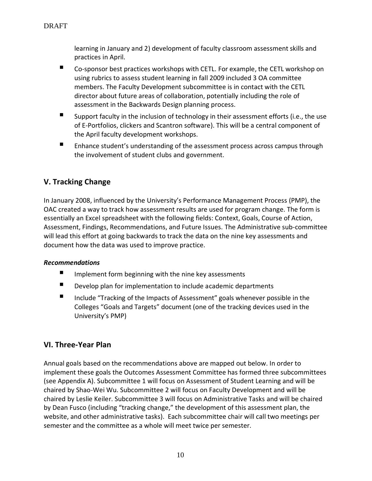learning in January and 2) development of faculty classroom assessment skills and practices in April.

- Co-sponsor best practices workshops with CETL. For example, the CETL workshop on using rubrics to assess student learning in fall 2009 included 3 OA committee members. The Faculty Development subcommittee is in contact with the CETL director about future areas of collaboration, potentially including the role of assessment in the Backwards Design planning process.
- Support faculty in the inclusion of technology in their assessment efforts (i.e., the use of E-Portfolios, clickers and Scantron software). This will be a central component of the April faculty development workshops.
- **Enhance student's understanding of the assessment process across campus through** the involvement of student clubs and government.

# **V. Tracking Change**

In January 2008, influenced by the University's Performance Management Process (PMP), the OAC created a way to track how assessment results are used for program change. The form is essentially an Excel spreadsheet with the following fields: Context, Goals, Course of Action, Assessment, Findings, Recommendations, and Future Issues. The Administrative sub-committee will lead this effort at going backwards to track the data on the nine key assessments and document how the data was used to improve practice.

# *Recommendations*

- $\blacksquare$  Implement form beginning with the nine key assessments
- Develop plan for implementation to include academic departments
- Include "Tracking of the Impacts of Assessment" goals whenever possible in the Colleges "Goals and Targets" document (one of the tracking devices used in the University's PMP)

# **VI. Three-Year Plan**

Annual goals based on the recommendations above are mapped out below. In order to implement these goals the Outcomes Assessment Committee has formed three subcommittees (see Appendix A). Subcommittee 1 will focus on Assessment of Student Learning and will be chaired by Shao-Wei Wu. Subcommittee 2 will focus on Faculty Development and will be chaired by Leslie Keiler. Subcommittee 3 will focus on Administrative Tasks and will be chaired by Dean Fusco (including "tracking change," the development of this assessment plan, the website, and other administrative tasks). Each subcommittee chair will call two meetings per semester and the committee as a whole will meet twice per semester.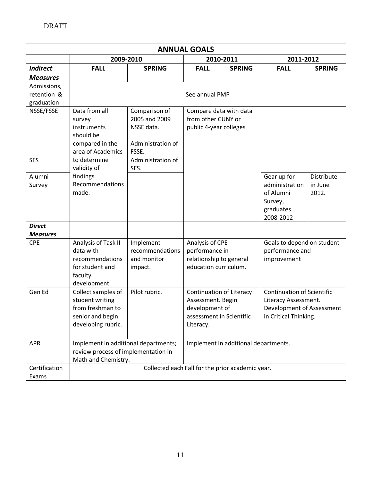| <b>ANNUAL GOALS</b> |                                                  |                   |                                      |               |                                   |                   |
|---------------------|--------------------------------------------------|-------------------|--------------------------------------|---------------|-----------------------------------|-------------------|
|                     | 2009-2010                                        |                   | 2010-2011                            |               | 2011-2012                         |                   |
| <b>Indirect</b>     | <b>FALL</b>                                      | <b>SPRING</b>     | <b>FALL</b>                          | <b>SPRING</b> | <b>FALL</b>                       | <b>SPRING</b>     |
| <b>Measures</b>     |                                                  |                   |                                      |               |                                   |                   |
| Admissions,         |                                                  |                   |                                      |               |                                   |                   |
| retention &         |                                                  |                   | See annual PMP                       |               |                                   |                   |
| graduation          |                                                  |                   |                                      |               |                                   |                   |
| NSSE/FSSE           | Data from all                                    | Comparison of     | Compare data with data               |               |                                   |                   |
|                     | survey                                           | 2005 and 2009     | from other CUNY or                   |               |                                   |                   |
|                     | instruments                                      | NSSE data.        | public 4-year colleges               |               |                                   |                   |
|                     | should be                                        |                   |                                      |               |                                   |                   |
|                     | compared in the                                  | Administration of |                                      |               |                                   |                   |
|                     | area of Academics                                | FSSE.             |                                      |               |                                   |                   |
| <b>SES</b>          | to determine                                     | Administration of |                                      |               |                                   |                   |
|                     | validity of                                      | SES.              |                                      |               |                                   |                   |
| Alumni              | findings.                                        |                   |                                      |               | Gear up for                       | <b>Distribute</b> |
| Survey              | Recommendations                                  |                   |                                      |               | administration                    | in June           |
|                     | made.                                            |                   |                                      |               | of Alumni                         | 2012.             |
|                     |                                                  |                   |                                      |               | Survey,                           |                   |
|                     |                                                  |                   |                                      |               | graduates<br>2008-2012            |                   |
| <b>Direct</b>       |                                                  |                   |                                      |               |                                   |                   |
| <b>Measures</b>     |                                                  |                   |                                      |               |                                   |                   |
| <b>CPE</b>          | Analysis of Task II                              | Implement         | Analysis of CPE                      |               | Goals to depend on student        |                   |
|                     | data with                                        | recommendations   | performance in                       |               | performance and                   |                   |
|                     | recommendations                                  | and monitor       | relationship to general              |               | improvement                       |                   |
|                     | for student and                                  | impact.           | education curriculum.                |               |                                   |                   |
|                     | faculty                                          |                   |                                      |               |                                   |                   |
|                     | development.                                     |                   |                                      |               |                                   |                   |
| Gen Ed              | Collect samples of                               | Pilot rubric.     | <b>Continuation of Literacy</b>      |               | <b>Continuation of Scientific</b> |                   |
|                     | student writing                                  |                   | Assessment. Begin                    |               | Literacy Assessment.              |                   |
|                     | from freshman to                                 |                   | development of                       |               | Development of Assessment         |                   |
|                     | senior and begin                                 |                   | assessment in Scientific             |               | in Critical Thinking.             |                   |
|                     | developing rubric.                               |                   | Literacy.                            |               |                                   |                   |
| <b>APR</b>          | Implement in additional departments;             |                   |                                      |               |                                   |                   |
|                     | review process of implementation in              |                   | Implement in additional departments. |               |                                   |                   |
|                     | Math and Chemistry.                              |                   |                                      |               |                                   |                   |
| Certification       | Collected each Fall for the prior academic year. |                   |                                      |               |                                   |                   |
| Exams               |                                                  |                   |                                      |               |                                   |                   |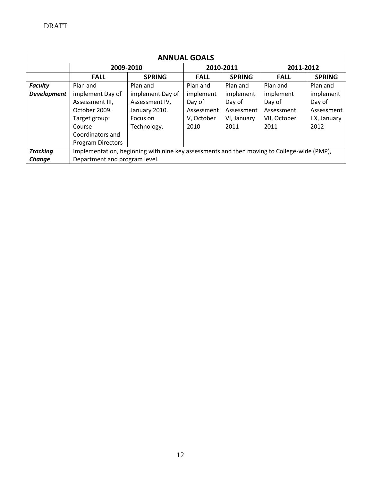| <b>ANNUAL GOALS</b> |                                                                                            |                  |             |               |              |               |
|---------------------|--------------------------------------------------------------------------------------------|------------------|-------------|---------------|--------------|---------------|
|                     | 2009-2010                                                                                  |                  | 2010-2011   |               | 2011-2012    |               |
|                     | <b>FALL</b>                                                                                | <b>SPRING</b>    | <b>FALL</b> | <b>SPRING</b> | <b>FALL</b>  | <b>SPRING</b> |
| <b>Faculty</b>      | Plan and                                                                                   | Plan and         | Plan and    | Plan and      | Plan and     | Plan and      |
| <b>Development</b>  | implement Day of                                                                           | implement Day of | implement   | implement     | implement    | implement     |
|                     | Assessment III,                                                                            | Assessment IV,   | Day of      | Day of        | Day of       | Day of        |
|                     | October 2009.                                                                              | January 2010.    | Assessment  | Assessment    | Assessment   | Assessment    |
|                     | Target group:                                                                              | Focus on         | V, October  | VI, January   | VII, October | IIX, January  |
|                     | Course                                                                                     | Technology.      | 2010        | 2011          | 2011         | 2012          |
|                     | Coordinators and                                                                           |                  |             |               |              |               |
|                     | <b>Program Directors</b>                                                                   |                  |             |               |              |               |
| <b>Tracking</b>     | Implementation, beginning with nine key assessments and then moving to College-wide (PMP), |                  |             |               |              |               |
| Change              | Department and program level.                                                              |                  |             |               |              |               |